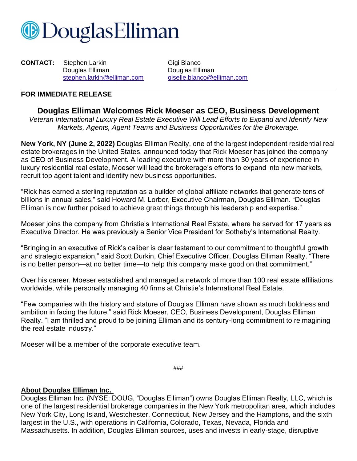

**CONTACT:** Stephen Larkin Gigi Blanco Douglas Elliman **Douglas Elliman** 

stephen.larkin@elliman.com giselle.blanco@elliman.com

## **FOR IMMEDIATE RELEASE**

## **Douglas Elliman Welcomes Rick Moeser as CEO, Business Development**

*Veteran International Luxury Real Estate Executive Will Lead Efforts to Expand and Identify New Markets, Agents, Agent Teams and Business Opportunities for the Brokerage.*

**New York, NY (June 2, 2022)** Douglas Elliman Realty, one of the largest independent residential real estate brokerages in the United States, announced today that Rick Moeser has joined the company as CEO of Business Development. A leading executive with more than 30 years of experience in luxury residential real estate, Moeser will lead the brokerage's efforts to expand into new markets, recruit top agent talent and identify new business opportunities.

"Rick has earned a sterling reputation as a builder of global affiliate networks that generate tens of billions in annual sales," said Howard M. Lorber, Executive Chairman, Douglas Elliman. "Douglas Elliman is now further poised to achieve great things through his leadership and expertise."

Moeser joins the company from Christie's International Real Estate, where he served for 17 years as Executive Director. He was previously a Senior Vice President for Sotheby's International Realty.

"Bringing in an executive of Rick's caliber is clear testament to our commitment to thoughtful growth and strategic expansion," said Scott Durkin, Chief Executive Officer, Douglas Elliman Realty. "There is no better person—at no better time—to help this company make good on that commitment."

Over his career, Moeser established and managed a network of more than 100 real estate affiliations worldwide, while personally managing 40 firms at Christie's International Real Estate.

"Few companies with the history and stature of Douglas Elliman have shown as much boldness and ambition in facing the future," said Rick Moeser, CEO, Business Development, Douglas Elliman Realty. "I am thrilled and proud to be joining Elliman and its century-long commitment to reimagining the real estate industry."

Moeser will be a member of the corporate executive team.

###

## **About Douglas Elliman Inc.**

Douglas Elliman Inc. (NYSE: DOUG, "Douglas Elliman") owns Douglas Elliman Realty, LLC, which is one of the largest residential brokerage companies in the New York metropolitan area, which includes New York City, Long Island, Westchester, Connecticut, New Jersey and the Hamptons, and the sixth largest in the U.S., with operations in California, Colorado, Texas, Nevada, Florida and Massachusetts. In addition, Douglas Elliman sources, uses and invests in early-stage, disruptive